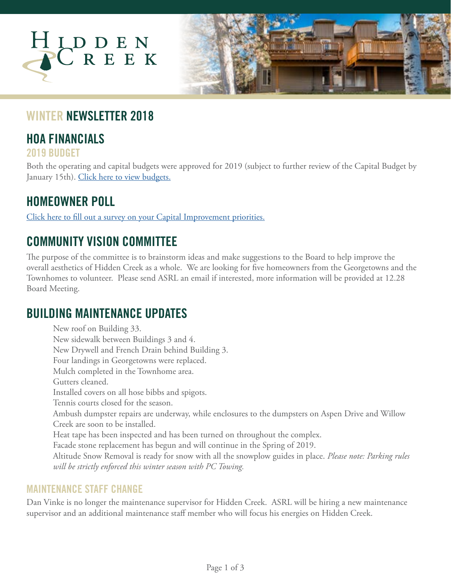

### **WINTER NEWSLETTER 2018**

## **HOA FINANCIALS**

**2019 BUDGET**

Both the operating and capital budgets were approved for 2019 (subject to further review of the Capital Budget by January 15th). [Click here to view budgets.](https://www.dropbox.com/s/5l2kp1wcpfxcuvr/2019%20HID%20Budget%20V.3.pdf?dl=0)

## **HOMEOWNER POLL**

[Click here to fill out a survey on your Capital Improvement priorities.](https://www.surveymonkey.com/r/hiddencreekprojects)

# **COMMUNITY VISION COMMITTEE**

The purpose of the committee is to brainstorm ideas and make suggestions to the Board to help improve the overall aesthetics of Hidden Creek as a whole. We are looking for five homeowners from the Georgetowns and the Townhomes to volunteer. Please send ASRL an email if interested, more information will be provided at 12.28 Board Meeting.

### **BUILDING MAINTENANCE UPDATES**

New roof on Building 33. New sidewalk between Buildings 3 and 4. New Drywell and French Drain behind Building 3. Four landings in Georgetowns were replaced. Mulch completed in the Townhome area. Gutters cleaned. Installed covers on all hose bibbs and spigots. Tennis courts closed for the season. Ambush dumpster repairs are underway, while enclosures to the dumpsters on Aspen Drive and Willow Creek are soon to be installed. Heat tape has been inspected and has been turned on throughout the complex. Facade stone replacement has begun and will continue in the Spring of 2019. Altitude Snow Removal is ready for snow with all the snowplow guides in place. *Please note: Parking rules will be strictly enforced this winter season with PC Towing.*

#### **MAINTENANCE STAFF CHANGE**

Dan Vinke is no longer the maintenance supervisor for Hidden Creek. ASRL will be hiring a new maintenance supervisor and an additional maintenance staff member who will focus his energies on Hidden Creek.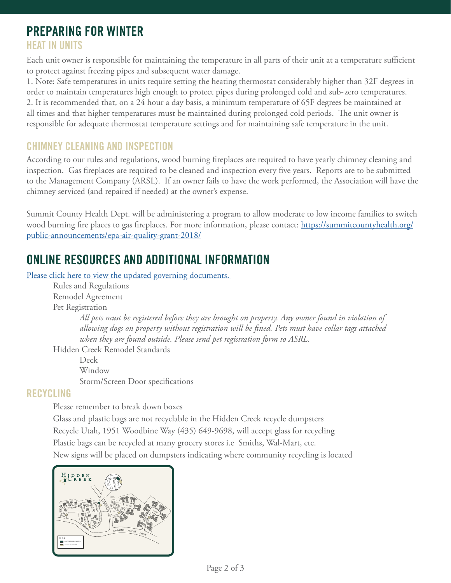## **PREPARING FOR WINTER**

### **HEAT IN UNITS**

Each unit owner is responsible for maintaining the temperature in all parts of their unit at a temperature sufficient to protect against freezing pipes and subsequent water damage.

1. Note: Safe temperatures in units require setting the heating thermostat considerably higher than 32F degrees in order to maintain temperatures high enough to protect pipes during prolonged cold and sub-zero temperatures. 2. It is recommended that, on a 24 hour a day basis, a minimum temperature of 65F degrees be maintained at all times and that higher temperatures must be maintained during prolonged cold periods. The unit owner is responsible for adequate thermostat temperature settings and for maintaining safe temperature in the unit.

#### **CHIMNEY CLEANING AND INSPECTION**

According to our rules and regulations, wood burning fireplaces are required to have yearly chimney cleaning and inspection. Gas fireplaces are required to be cleaned and inspection every five years. Reports are to be submitted to the Management Company (ARSL). If an owner fails to have the work performed, the Association will have the chimney serviced (and repaired if needed) at the owner's expense.

Summit County Health Dept. will be administering a program to allow moderate to low income families to switch wood burning fire places to gas fireplaces. For more information, please contact: [https://summitcountyhealth.org/](https://summitcountyhealth.org/public-announcements/epa-air-quality-grant-2018/) [public-announcements/epa-air-quality-grant-2018/](https://summitcountyhealth.org/public-announcements/epa-air-quality-grant-2018/)

# **ONLINE RESOURCES AND ADDITIONAL INFORMATION**

Please click here to view the updated governing documents.

Rules and Regulations Remodel Agreement Pet Registration

> *All pets must be registered before they are brought on property. Any owner found in violation of allowing dogs on property without registration will be fined. Pets must have collar tags attached when they are found outside. Please send pet registration form to ASRL.*

Hidden Creek Remodel Standards

 Deck Window Storm/Screen Door specifications

#### **RECYCLING**

Please remember to break down boxes

Glass and plastic bags are not recyclable in the Hidden Creek recycle dumpsters Recycle Utah, 1951 Woodbine Way (435) 649-9698, will accept glass for recycling Plastic bags can be recycled at many grocery stores i.e Smiths, Wal-Mart, etc. New signs will be placed on dumpsters indicating where community recycling is located